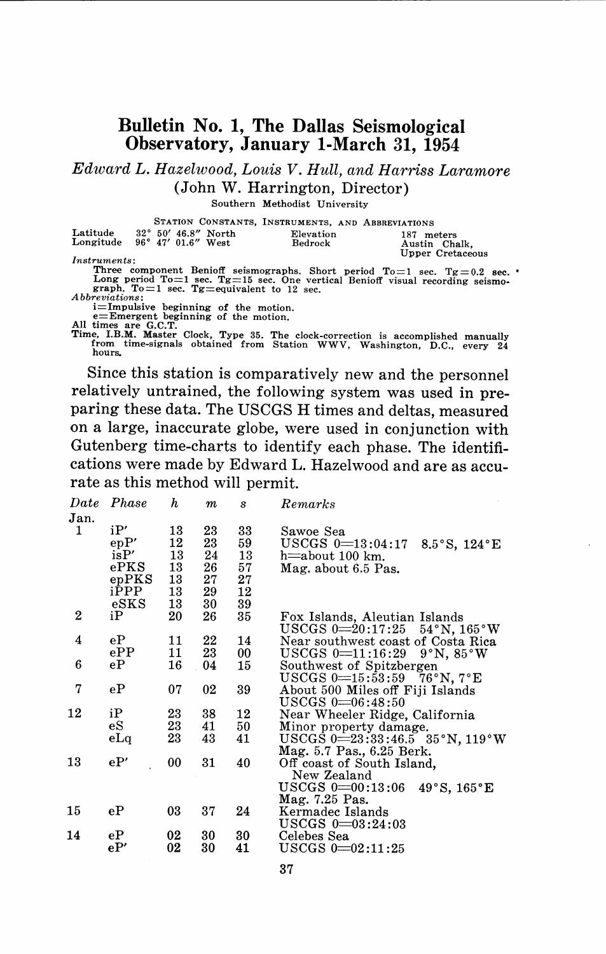## **Bulletin No. 1, The Dallas Seismological Observatory, January I-March 31, 1954**

*Edward L. Hazelwood, Louis V. Hull, and Harriss Laramore*  (John W. Harrington, Director)

Southern Methodist University

|                                       |                                      | STATION CONSTANTS, INSTRUMENTS, AND ABBREVIATIONS |                                                                                |  |
|---------------------------------------|--------------------------------------|---------------------------------------------------|--------------------------------------------------------------------------------|--|
| Latitude                              | 32° 50' 46.8" North                  | Elevation                                         | 187 meters                                                                     |  |
| Longitude $96^{\circ}$ 47' 01.6" West |                                      | Bedrock                                           | Austin Chalk.                                                                  |  |
|                                       |                                      |                                                   | Upper Cretaceous                                                               |  |
| <i>Instruments:</i>                   |                                      |                                                   |                                                                                |  |
|                                       |                                      |                                                   | Three component Benioff seismographs. Short period $To=1$ sec. $Tg=0.2$ sec.   |  |
|                                       |                                      |                                                   | Long period To=1 sec. Tg=15 sec. One vertical Benioff visual recording seismo- |  |
|                                       |                                      | graph. To $=$ 1 sec. Tg $=$ equivalent to 12 sec. |                                                                                |  |
| <i>Abbreviations:</i>                 |                                      |                                                   |                                                                                |  |
|                                       | i=Impulsive beginning of the motion. |                                                   |                                                                                |  |

i=Impulsive beginning of the motion<br>e=Emergent beginning of the motion.<br>All times are G.C.T.

Time, **I.B.M.** Master Clock, Type 35. The clock-correction is accomplished manually **from time-signals obtained from Station WWV, Washington, D.C., every 24 hours.** 

Since this station is comparatively new and the personnel relatively untrained, the following system was used in preparing these data. The USCGS H times and deltas, measured on a large, inaccurate globe, were used in conjunction with Gutenberg time-charts to identify each phase. The identifications were made by Edward L. Hazelwood and are as accurate as this method will permit.

| <b>Date</b> | Phase         | h  | $\boldsymbol{m}$ | S      | Remarks                                                        |
|-------------|---------------|----|------------------|--------|----------------------------------------------------------------|
| Jan.        |               |    |                  |        |                                                                |
| 1           | iP'           | 13 | 23               | 33     | Sawoe Sea                                                      |
|             | epP'          | 12 | 23               | 59     | USCGS $0=13:04:17$<br>8.5 $\degree$ S, 124 $\degree$ E         |
|             | isP'          | 13 | 24               | 13     | h $\equiv$ about 100 km.                                       |
|             | ePKS          | 13 | 26               | 57     | Mag. about 6.5 Pas.                                            |
|             | epPKS         | 13 | 27               | $27\,$ |                                                                |
|             | iPPP          | 13 | 29               | 12     |                                                                |
|             | $_{\rm eSKS}$ | 13 | 30               | 39     |                                                                |
| 2           | iP            | 20 | 26               | 35     | Fox Islands, Aleutian Islands                                  |
|             |               |    |                  |        | $USCGS$ 0 $\equiv$ 20:17:25<br>$54^{\circ}$ N, $165^{\circ}$ W |
| 4           | еP            | 11 | 22               | 14     | Near southwest coast of Costa Rica                             |
|             | $e{\rm PP}$   | 11 | 23               | 00     | USCGS $0=11:16:29$ $9°N, 85°W$                                 |
| 6           | еP            | 16 | 04               | 15     | Southwest of Spitzbergen                                       |
|             |               |    |                  |        | USCGS $0=15:53:59$ 76°N, 7°E                                   |
| 7           | eP            | 07 | 02               | 39     | About 500 Miles off Fiji Islands                               |
|             |               |    |                  |        | $USCGS$ $0=06:48:50$                                           |
| 12          | iP            | 23 | 38               | 12     | Near Wheeler Ridge, California                                 |
|             | eS            | 23 | 41               | 50     | Minor property damage.                                         |
|             | eLq           | 23 | 43               | 41     | $USCGS$ 0=23:33:46.5 35°N, 119°W                               |
|             |               |    |                  |        | Mag. 5.7 Pas., 6.25 Berk.                                      |
| 13          | eP'           | 00 | 31               | 40     | Off coast of South Island,                                     |
|             |               |    |                  |        | New Zealand                                                    |
|             |               |    |                  |        | $USCGS$ 0 $\equiv$ 00:13:06<br>49°S, 165°E                     |
| 15          | eP            | 03 | 37               | 24     | Mag. 7.25 Pas.                                                 |
|             |               |    |                  |        | Kermadec Islands                                               |
| 14          | eP            | 02 | 30               | 30     | ${\rm USCGS}$ 0 $=$ 03:24:03                                   |
|             | eP'           | 02 | 30               | 41     | Celebes Sea<br>$USCGS$ 0 $=$ 02:11:25                          |
|             |               |    |                  |        |                                                                |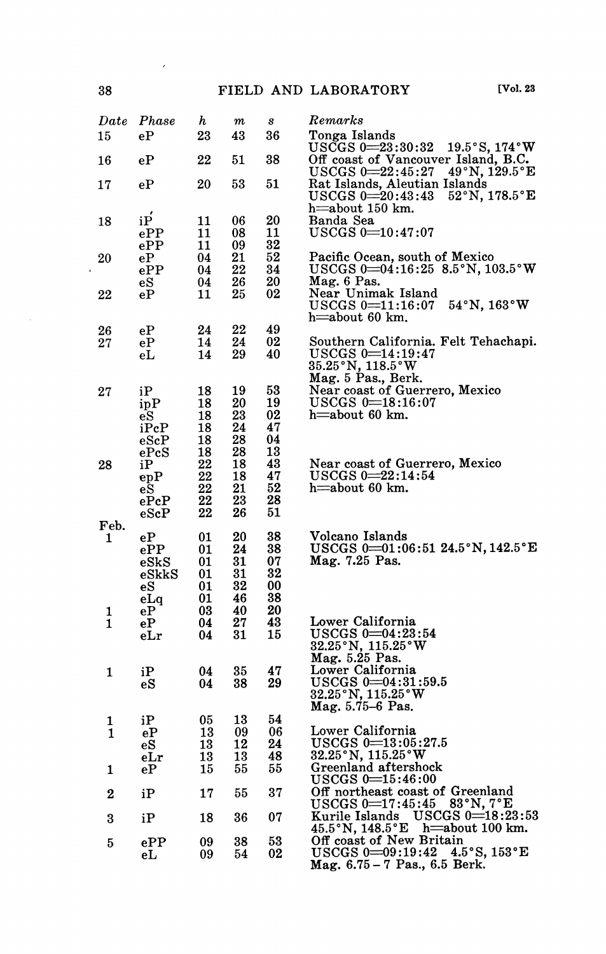| $_{Date}$ | Phase                     | h        | $\it m$  | s        | Remarks                                                                                                                 |
|-----------|---------------------------|----------|----------|----------|-------------------------------------------------------------------------------------------------------------------------|
| 15        | $e{\bf P}$                | 23       | 43       | 36       | Tonga Islands<br>${\rm USCGS}~0\!\!=\!\!23\!:\!30\!:\!32$<br>$19.5^{\circ}$ S, $174^{\circ}$ W                          |
| 16        | eP                        | 22       | 51       | 38       | Off coast of Vancouver Island, B.C.<br>49°N, 129.5°E<br>$USCGS$ 0 $=$ 22:45:27                                          |
| 17        | еP                        | 20       | 53       | 51       | Rat Islands, Aleutian Islands<br>$USCGS \ 0 = 20:43:43$<br>$52^{\circ}$ N, 178.5 $^{\circ}$ E<br>h=about 150 km.        |
| 18        | iP                        | 11       | 06       | 20       | Banda Sea                                                                                                               |
|           | ePP                       | 11       | 08       | 11       | $USCGS 0 = 10:47:07$                                                                                                    |
| 20        | ePP<br>еP                 | 11<br>04 | 09<br>21 | 32<br>52 | Pacific Ocean, south of Mexico                                                                                          |
|           | ePP                       | 04       | 22       | 34       | USCGS $0=04:16:25$ 8.5°N, $103.5°W$                                                                                     |
|           | $_{\rm eS}$               | 04       | 26       | 20       | Mag. 6 Pas.                                                                                                             |
| 22        | eР                        | 11       | 25       | 02       | Near Unimak Island<br>$54^{\circ}\N$ , $163^{\circ}\W$<br>$USCGS = 11:16:07$<br>h=about 60 km.                          |
| 26        | eP                        | 24       | 22       | 49       |                                                                                                                         |
| 27        | еP<br>eL                  | 14<br>14 | 24<br>29 | 02<br>40 | Southern California. Felt Tehachapi.<br>$USCGS \n0=14:19:47$<br>$35.25\,^{\circ}\mathrm{N},\,118.5\,^{\circ}\mathrm{W}$ |
|           |                           |          |          |          | Mag. 5 Pas., Berk.                                                                                                      |
| 27        | iP<br>ipP                 | 18<br>18 | 19<br>20 | 53<br>19 | Near coast of Guerrero, Mexico<br>${\rm USCGS}$ 0 $\!=$ 18:16:07                                                        |
|           | еS                        | 18       | 23       | 02       | h=about 60 km.                                                                                                          |
|           | iPcP                      | 18       | 24       | 47       |                                                                                                                         |
|           | $_{\rm eSeP}$<br>ePcS     | 18<br>18 | 28<br>28 | 04<br>13 |                                                                                                                         |
| 28        | iР                        | 22       | 18       | 43       | Near coast of Guerrero, Mexico                                                                                          |
|           | ${\bf e} {\bf p} {\bf P}$ | 22       | 18       | 47       | $USCGS \ 0 = 22:14:54$                                                                                                  |
|           | eS<br>ePcP                | 22<br>22 | 21<br>23 | 52<br>28 | h=about 60 km.                                                                                                          |
|           | $_{\rm eScP}$             | 22       | 26       | 51       |                                                                                                                         |
| Feb.      |                           |          |          |          |                                                                                                                         |
| 1         | еP                        | 01<br>01 | 20<br>24 | 38<br>38 | Volcano Islands<br>USCGS $0=01:06:51$ 24.5°N, 142.5°E                                                                   |
|           | ePP<br>$_{\rm eSKS}$      | 01       | 31       | 07       | Mag. 7.25 Pas.                                                                                                          |
|           | $_{\rm eSKkS}$            | 01       | 31       | 32       |                                                                                                                         |
|           | еS                        | 01       | 32       | 00       |                                                                                                                         |
| 1         | eLq<br>eР                 | 01<br>03 | 46<br>40 | 38<br>20 |                                                                                                                         |
| 1         | еP                        | 04       | 27       | 43       | Lower California                                                                                                        |
|           | $_{\rm eLr}$              | 04       | 31       | 15       | $USCGS \n 0 = 04:23:54$                                                                                                 |
|           |                           |          |          |          | 32.25°N, 115.25°W<br>Mag. 5.25 Pas.                                                                                     |
| 1         | iP                        | 04       | 35       | 47       | Lower California                                                                                                        |
|           | eS                        | 04       | 38       | 29       | ${\rm USCGS}$ 0=04:31:59.5                                                                                              |
|           |                           |          |          |          | 32.25°N, 115.25°W<br>Mag. 5.75–6 Pas.                                                                                   |
| 1         | iP                        | 05       | 13       | 54       |                                                                                                                         |
| 1         | eP                        | 13       | 09       | 06       | Lower California                                                                                                        |
|           | еS                        | 13       | 12       | 24       | $USCGS$ 0 $\equiv$ 13:05:27.5                                                                                           |
| 1         | eLr<br>eР                 | 13<br>15 | 13<br>55 | 48<br>55 | 32.25°N, 115.25°W<br>Greenland aftershock                                                                               |
|           |                           |          |          |          | ${\rm USCGS}~0\!\!=\!\!15\!:\!46\!:\!00$                                                                                |
| 2         | iP                        | 17       | 55       | 37       | Off northeast coast of Greenland<br>$83^\circ \text{N}$ , $7^\circ \text{E}$<br>$USCGS 0 = 17:45:45$                    |
| 3         | iP                        | 18       | 36       | 07       | Kurile Islands USCGS 0=18:23:53<br>45.5°N, 148.5°E<br>h=about $100 \text{ km}$ .                                        |
| 5         | ePP                       | 09       | 38       | 53       | Off coast of New Britain                                                                                                |
|           | eL                        | 09       | 54       | 02       | $USCGS \ 0 \text{---}09:19:42$<br>$4.5\textdegree\text{S},\,153\textdegree\text{E}$<br>Mag. 6.75 - 7 Pas., 6.5 Berk.    |

 $\mathcal{L}$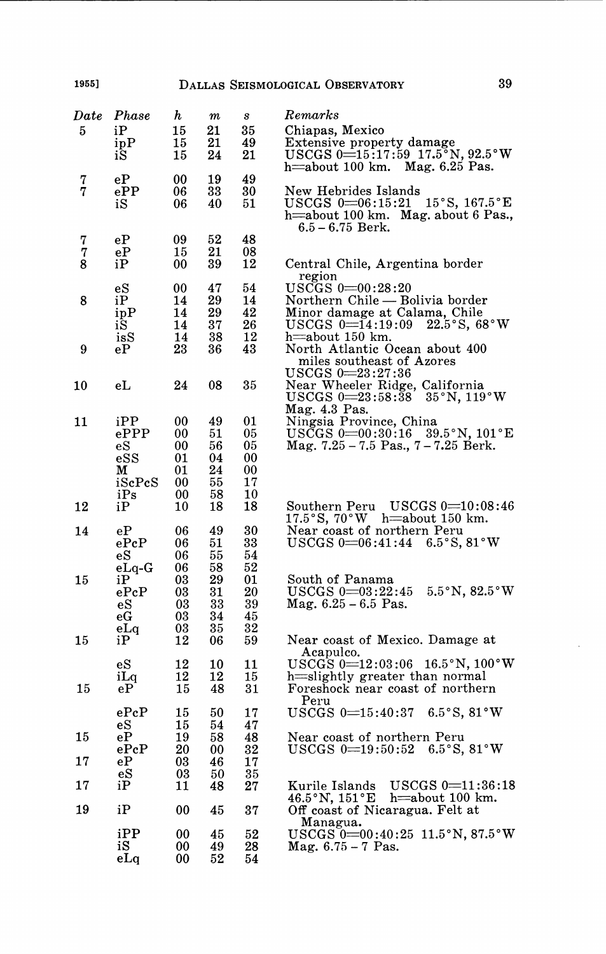| ${\it Date}$  | Phase                                                                                                                                   | h        | т        | s        | $\it Remarks$                                                                                          |
|---------------|-----------------------------------------------------------------------------------------------------------------------------------------|----------|----------|----------|--------------------------------------------------------------------------------------------------------|
| 5             | iР                                                                                                                                      | 15       | 21       | 35       | Chiapas, Mexico                                                                                        |
|               | ipP                                                                                                                                     | 15       | 21       | 49       | Extensive property damage                                                                              |
|               | iS                                                                                                                                      | 15       | 24       | 21       | USCGS $0=15:17:59$ 17.5°N, 92.5°W                                                                      |
|               |                                                                                                                                         |          |          |          | Mag. 6.25 Pas.<br>h=about 100 km.                                                                      |
| $\frac{7}{7}$ | еP                                                                                                                                      | 00       | 19       | 49       |                                                                                                        |
|               | ePP                                                                                                                                     | 06       | 33       | 30       | New Hebrides Islands                                                                                   |
|               | iS                                                                                                                                      | 06       | 40       | 51       | $USCGS$ 0=06:15:21 15°S, 167.5°E                                                                       |
|               |                                                                                                                                         |          |          |          | h=about 100 km. Mag. about 6 Pas.,                                                                     |
|               |                                                                                                                                         |          |          |          | $6.5 - 6.75$ Berk.                                                                                     |
| 7             | еP                                                                                                                                      | 09       | 52       | 48       |                                                                                                        |
| 7             | eP                                                                                                                                      | 15       | 21       | 08       |                                                                                                        |
| 8             | iP                                                                                                                                      | 00       | 39       | 12       | Central Chile, Argentina border                                                                        |
|               |                                                                                                                                         | 00       | 47       | 54       | region<br>${\rm USCGS~0}\!\!=\!\!00\!:\!28\!:\!20$                                                     |
| 8             | $_{\rm eS}$<br>iР                                                                                                                       | 14       | 29       | 14       | Northern Chile — Bolivia border                                                                        |
|               |                                                                                                                                         | 14       | 29       | 42       | Minor damage at Calama, Chile                                                                          |
|               | ipP<br>iS                                                                                                                               | 14       | 37       | 26       | USCGS $0=14:19:09$ 22.5°S, 68°W                                                                        |
|               | isS                                                                                                                                     | 14       | 38       | 12       | h=about 150 km.                                                                                        |
| 9             | еP                                                                                                                                      | 23       | 36       | 43       | North Atlantic Ocean about 400                                                                         |
|               |                                                                                                                                         |          |          |          | miles southeast of Azores                                                                              |
|               |                                                                                                                                         |          |          |          | ${\rm USCGS~0}\!\!=\!\!23\!:\!27\!:\!36$                                                               |
| 10            | e <sub>L</sub>                                                                                                                          | 24       | 08       | 35       | Near Wheeler Ridge, California                                                                         |
|               |                                                                                                                                         |          |          |          | ${\rm USCGS}$ 0=23:58:38<br>$35^{\circ}$ N, $119^{\circ}$ W                                            |
|               |                                                                                                                                         |          |          |          | Mag. 4.3 Pas.<br>Ningsia Province, China                                                               |
| 11            | iPP                                                                                                                                     | 00       | 49       | 01       |                                                                                                        |
|               | $e$ PPP                                                                                                                                 | 00       | 51       | 05       | USCGS $0=00:30:16$ 39.5°N, $101^{\circ}E$                                                              |
|               | $_{\rm eS}$                                                                                                                             | 00       | 56       | 05       | Mag. $7.25 - 7.5$ Pas., $7 - 7.25$ Berk.                                                               |
|               | $\operatorname*{ess}% \operatorname*{supp}\left( X\right) \equiv\operatorname*{ess}\left[ \operatorname*{ess}\left( X\right) \right] ,$ | 01       | 04       | 00       |                                                                                                        |
|               | м                                                                                                                                       | 01       | 24       | 00       |                                                                                                        |
|               | iScPcS                                                                                                                                  | 00       | 55       | 17       |                                                                                                        |
|               | iPs                                                                                                                                     | 00       | 58       | 10       |                                                                                                        |
| 12            | iР                                                                                                                                      | 10       | 18       | 18       | Southern Peru USCGS 0=10:08:46                                                                         |
|               |                                                                                                                                         |          |          |          | $17.5^{\circ}\mathrm{S},\,70^{\circ}\mathrm{W}$<br>h $=$ about 150 km.                                 |
| 14            | еP                                                                                                                                      | 06       | 49       | 30       | Near coast of northern Peru                                                                            |
|               | ePeP                                                                                                                                    | 06       | 51       | 33       | $6.5^{\circ}$ S, $81^{\circ}$ W<br>$USCGS$ 0=06:41:44                                                  |
|               | $_{\rm eS}$                                                                                                                             | 06       | 55       | 54       |                                                                                                        |
|               | $eLq$ -G                                                                                                                                | 06       | 58       | 52       |                                                                                                        |
| 15            | iР                                                                                                                                      | 03       | 29       | 01       | South of Panama                                                                                        |
|               | $_{\rm ePcP}$                                                                                                                           | 03       | 31<br>33 | 20<br>39 | $5.5^{\circ}$ N, $82.5^{\circ}$ W<br>$USCGS~0\text{=}03\text{:}22\text{:}45$<br>Mag. $6.25 - 6.5$ Pas. |
|               | $_{\rm eS}$                                                                                                                             | 03<br>03 | 34       | 45       |                                                                                                        |
|               | еG<br>eLq                                                                                                                               | 03       | 35       | 32       |                                                                                                        |
| 15            | iР                                                                                                                                      | 12       | 06       | 59       | Near coast of Mexico. Damage at                                                                        |
|               |                                                                                                                                         |          |          |          | Acapulco.                                                                                              |
|               | eS                                                                                                                                      | 12       | 10       | 11       | $USCGS$ 0=12:03:06 16.5°N, 100°W                                                                       |
|               | iLq                                                                                                                                     | 12       | 12       | 15       | h=slightly greater than normal                                                                         |
| 15            | eP                                                                                                                                      | 15       | 48       | 31       | Foreshock near coast of northern                                                                       |
|               |                                                                                                                                         |          |          |          | Peru                                                                                                   |
|               | ePeP                                                                                                                                    | 15       | 50       | 17       | $USCGS$ $0=15:40:37$<br>$6.5^\circ$ S. 81 $^\circ$ W                                                   |
|               | eS                                                                                                                                      | 15       | 54       | 47       |                                                                                                        |
| 15            | еP                                                                                                                                      | 19       | 58       | 48       | Near coast of northern Peru                                                                            |
|               | ePeP                                                                                                                                    | 20       | 00       | 32       | USCGS 0=19:50:52 6.5°S, 81°W                                                                           |
| 17            | eР                                                                                                                                      | 03       | 46       | 17       |                                                                                                        |
|               | $\rm{eS}$                                                                                                                               | 03       | 50       | 35       |                                                                                                        |
| 17            | iP                                                                                                                                      | 11       | 48       | 27       | Kurile Islands<br>$USCGS = 11:36:18$                                                                   |
|               |                                                                                                                                         |          |          |          | $46.5\,^\circ\mathrm{N},\,151\,^\circ\mathrm{E}$<br>$h$ =about 100 km.                                 |
| 19            | iP                                                                                                                                      | 00       | 45       | 37       | Off coast of Nicaragua. Felt at                                                                        |
|               |                                                                                                                                         |          |          |          | Managua.                                                                                               |
|               | iPP                                                                                                                                     | 00       | 45       | 52       | USCGS 0=00:40:25 11.5°N, 87.5°W                                                                        |
|               | iS                                                                                                                                      | 00       | 49       | 28       | Mag. $6.75 - 7$ Pas.                                                                                   |
|               | eLa                                                                                                                                     | 00       | 52       | 54       |                                                                                                        |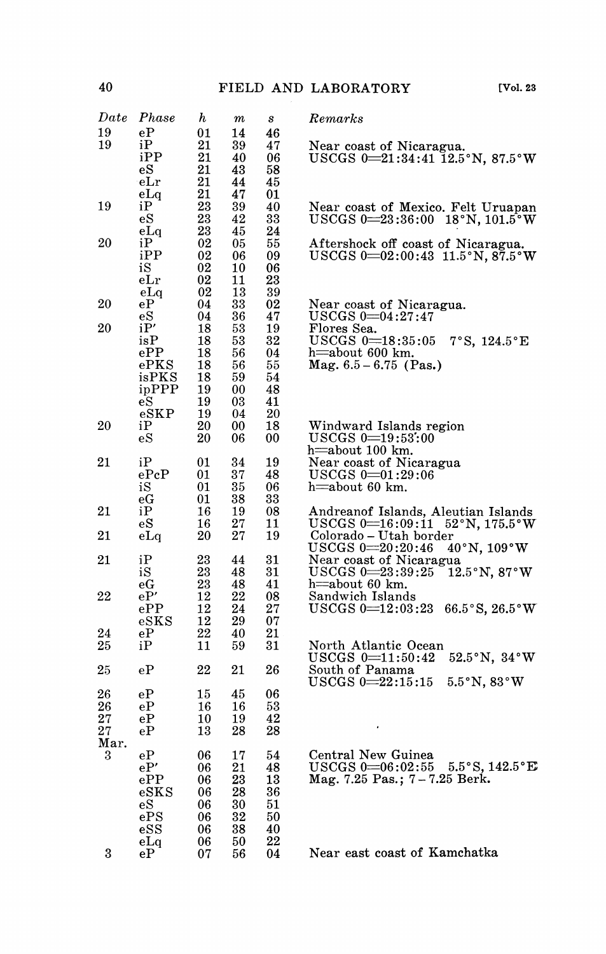| $_{Date}$ | Phase          | $\bm{h}$ | $\it m$ | s  | Remarks                                                                                        |
|-----------|----------------|----------|---------|----|------------------------------------------------------------------------------------------------|
| 19        | eP             | 01       | 14      | 46 |                                                                                                |
| 19        | iР             | 21       | 39      | 47 | Near coast of Nicaragua.                                                                       |
|           | iPP            | 21       | 40      | 06 | USCGS $0=21:34:41 \overline{1}2.5^{\circ}N$ , $87.5^{\circ}W$                                  |
|           | еS             | 21       | 43      | 58 |                                                                                                |
|           | eLr            | 21       | 44      | 45 |                                                                                                |
|           | eLq            | 21       | 47      | 01 |                                                                                                |
| 19        | iР             | 23       | 39      | 40 | Near coast of Mexico. Felt Uruapan                                                             |
|           | $_{\rm eS}$    | 23       | 42      | 33 | $USCGS$ 0 $\equiv$ 23:36:00<br>18°N, 101.5°W                                                   |
|           | eLq            | 23       | 45      | 24 |                                                                                                |
| 20        | iР             | 02       | 05      | 55 | Aftershock off coast of Nicaragua.                                                             |
|           | iPP            | 02       | 06      | 09 | USCGS $0=02:00:43$ 11.5°N, $87.5°W$                                                            |
|           | iS             | 02       | 10      | 06 |                                                                                                |
|           | eLr            | 02       | 11      | 23 |                                                                                                |
|           | eLq            | 02       | 13      | 39 |                                                                                                |
| 20        | еP             | 04       | 33      | 02 | Near coast of Nicaragua.                                                                       |
|           | еS             | 04       | 36      | 47 | $USCGS~0\text{=}04\texttt{:}27\texttt{:}47$                                                    |
| 20        | iP'            | 18       | 53      | 19 | Flores Sea.                                                                                    |
|           | isP            | 18       | 53      | 32 | $USCGS$ $0=18:35:05$<br>7°S, 124.5°E                                                           |
|           | ePP            | 18       | 56      | 04 | h=about 600 km.                                                                                |
|           | $e$ PKS        | 18       | 56      | 55 | Mag. $6.5 - 6.75$ (Pas.)                                                                       |
|           | isPKS          | 18       | 59      | 54 |                                                                                                |
|           | ipPPP          | 19       | 00      | 48 |                                                                                                |
|           | $_{\rm eS}$    | 19       | 03      | 41 |                                                                                                |
|           | $e$ SKP        | 19       | 04      | 20 |                                                                                                |
| 20        | iР             | 20       | 00      | 18 | Windward Islands region                                                                        |
|           | $\rm{eS}$      | 20       | 06      | 00 | $USCGS$ $0=19:53:00$                                                                           |
|           |                |          |         |    | h=about 100 km.                                                                                |
| 21        | iΡ             | 01       | 34      | 19 | Near coast of Nicaragua                                                                        |
|           | $_{\rm ePcP}$  | 01       | 37      | 48 | $USCGS \; 0 = 01:29:06$                                                                        |
|           | iS             | 01       | 35      | 06 | h=about 60 km.                                                                                 |
|           | еG             | 01       | 38      | 33 |                                                                                                |
| 21        | iP             | 16       | 19      | 08 | Andreanof Islands, Aleutian Islands                                                            |
|           | еS             | 16       | 27      | 11 | $USCGS = 16:09:11$<br>52°N, 175.5°W                                                            |
| 21        | eLa            | 20       | 27      | 19 | Colorado – Utah border                                                                         |
|           |                |          |         |    | ${\rm USCGS~0}\!\!=\!\!20\!:\!20\!:\!46$<br>$40\,^{\circ}\mathrm{N},\,109\,^{\circ}\mathrm{W}$ |
| 21        | iP             | 23       | 44      | 31 | Near coast of Nicaragua                                                                        |
|           | iS             | 23       | 48      | 31 | $USCGS 0 = 23:39:25$<br>$12.5^{\circ}$ N, $87^{\circ}$ W                                       |
|           | еG             | 23       | 48      | 41 | h=about 60 km.                                                                                 |
| 22        | eP'            | 12       | 22      | 08 | Sandwich Islands                                                                               |
|           | ePP            | 12       | 24      | 27 | $USCGS 0 = 12:03:23$<br>$66.5^{\circ}$ S, $26.5^{\circ}$ W                                     |
|           | $\rm{e} S K S$ | 12       | 29      | 07 |                                                                                                |
| 24        | eР             | 22       | 40      | 21 |                                                                                                |
| 25        | iP             | 11       | 59      | 31 | North Atlantic Ocean                                                                           |
|           |                |          |         |    | $USCGS$ 0 $\equiv$ 11:50:42<br>$52.5^{\circ}$ N, $34^{\circ}$ W                                |
| 25        | eР             | 22       | 21      | 26 | South of Panama                                                                                |
|           |                |          |         |    | $USCGS 0=22:15:15$<br>$5.5^{\circ}$ N, $83^{\circ}$ W                                          |
| 26        | eР             | 15       | 45      | 06 |                                                                                                |
| 26        | еP             | 16       | 16      | 53 |                                                                                                |
| 27        | eP             | 10       | 19      | 42 |                                                                                                |
| 27        | еP             | 13       | 28      | 28 |                                                                                                |
| Mar.      |                |          |         |    |                                                                                                |
| 3         | eP             | 06       | 17      | 54 | Central New Guinea                                                                             |
|           | eP'            | 06       | 21      | 48 | $5.5^{\circ}$ S, 142.5 $^{\circ}$ E<br>$USCGS$ $0=06:02:55$                                    |
|           | ePP            | 06       | 23      | 13 | Mag. 7.25 Pas.; 7-7.25 Berk.                                                                   |
|           | $_{\rm eSKS}$  | 06       | 28      | 36 |                                                                                                |
|           | $_{\rm eS}$    | 06       | 30      | 51 |                                                                                                |
|           | ePS            | 06       | 32      | 50 |                                                                                                |
|           |                | 06       | 38      | 40 |                                                                                                |
|           | $\rm{ess}$     |          |         | 22 |                                                                                                |
| 3         | eLq<br>eР      | 06       | 50      | 04 | Near east coast of Kamchatka                                                                   |
|           |                | 07       | 56      |    |                                                                                                |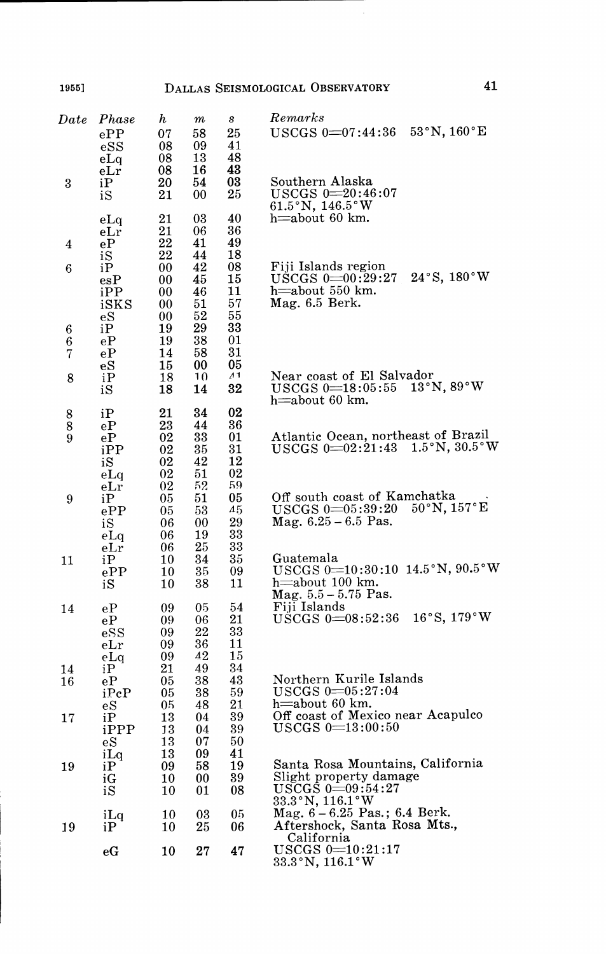l,

| $_{Date}$           | Phase<br>ePP<br>eSS<br>eLq                              | h<br>07<br>08<br>08              | $\it m$<br>58<br>09<br>13        | s<br>25<br>41<br>48              | $\it Remarks$<br>$53^{\circ}$ N, $160^{\circ}$ E<br>$USCGS$ 0=07:44:36                                                   |
|---------------------|---------------------------------------------------------|----------------------------------|----------------------------------|----------------------------------|--------------------------------------------------------------------------------------------------------------------------|
| 3                   | $_{\rm eLr}$<br>iР<br>iS                                | 08<br>20<br>21                   | 16<br>54<br>00                   | 43<br>03<br>25                   | Southern Alaska<br>$USCGS$ $0=20:46:07$<br>61.5°N, 146.5°W                                                               |
| 4                   | eLq<br>eLr<br>eР                                        | 21<br>21<br>22                   | 03<br>06<br>41                   | 40<br>36<br>49                   | h $\equiv$ about 60 km.                                                                                                  |
| 6                   | iS<br>iP<br>$_{\rm esP}$<br>iPP<br>iSKS                 | 22<br>00<br>00<br>00<br>00       | 44<br>42<br>45<br>46<br>51       | 18<br>08<br>15<br>11<br>57       | Fiji Islands region<br>$24^{\circ}$ S, 180 $^{\circ}$ W<br>$\rm USCGS$ $0=00:29:27$<br>h=about 550 km.<br>Mag. 6.5 Berk. |
| 6<br>6<br>7         | $_{\rm eS}$<br>iΡ<br>еP<br>еP                           | 00<br>19<br>19<br>14             | 52<br>29<br>38<br>58             | 55<br>33<br>01<br>31             |                                                                                                                          |
| 8                   | $_{\rm eS}$<br>iP<br>iS                                 | 15<br>18<br>18                   | 00<br>1 <sub>0</sub><br>14       | 05<br>$\Lambda$ 1<br>32          | Near coast of El Salvador<br>13°N, 89°W<br>$USCGS$ 0 $\!=\!18:05:55$<br>h=about 60 km.                                   |
| 8<br>$\bar{8}$<br>9 | iP<br>$\rm{eP}$<br>$e{\bf P}$<br>iPP<br>iS              | 21<br>23<br>02<br>02<br>02<br>02 | 34<br>44<br>33<br>35<br>42<br>51 | 02<br>36<br>01<br>31<br>12<br>02 | Atlantic Ocean, northeast of Brazil<br>USCGS 0=02:21:43 1.5°N, 30.5°W                                                    |
| 9                   | eLq<br>eLr<br>iP<br>ePP<br>iS<br>eLq                    | 02<br>05<br>05<br>06<br>06       | 52<br>51<br>53<br>00<br>19       | 59<br>05<br>45<br>29<br>33       | Off south coast of Kamchatka<br>$50^{\circ}$ N, $157^{\circ}$ E<br>$USCGS$ $0=05:39:20$<br>Mag. $6.25 - 6.5$ Pas.        |
| 11                  | $_{\rm eLr}$<br>iР<br>ePP<br>iS                         | 06<br>10<br>10<br>10             | 25<br>34<br>35<br>38             | 33<br>35<br>09<br>11             | Guatemala<br>USCGS 0=10:30:10 14.5°N, 90.5°W<br>h=about 100 km.<br>Mag. 5.5 - 5.75 Pas.                                  |
| 14                  | еP<br>еP<br>$\operatorname{eSS}$<br>$_{\rm eLr}$<br>eLa | 09<br>09<br>09<br>09<br>09       | 05<br>06<br>22<br>36<br>42       | 54<br>21<br>33<br>11<br>15       | Fiji Islands<br>16°S, 179°W<br>USCGS $0=08:52:36$                                                                        |
| 14<br>16            | iP<br>eP<br>iPcP                                        | 21<br>05<br>05                   | 49<br>38<br>38                   | 34<br>43<br>59                   | Northern Kurile Islands<br>$USCGS$ $0=05:27:04$<br>h=about 60 km.                                                        |
| 17                  | $_{\rm eS}$<br>iP<br>iPPP<br>$_{\rm eS}$                | 05<br>13<br>13<br>13             | 48<br>04<br>04<br>07             | 21<br>39<br>39<br>50             | Off coast of Mexico near Acapulco<br>USCGS 0=13:00:50                                                                    |
| 19                  | iLq<br>iP<br>iG<br>iS                                   | 13<br>09<br>10<br>10             | 09<br>58<br>00<br>01             | 41<br>19<br>39<br>08             | Santa Rosa Mountains, California<br>Slight property damage<br>$\mathrm{\bar{US}CG} \hat{\mathrm{S}} \; 0 = 09.54.27$     |
| 19                  | iLq<br>iP                                               | 10<br>10                         | 03<br>25                         | 05<br>06                         | 33.3°N, 116.1°W<br>Mag. $6 - 6.25$ Pas.; 6.4 Berk.<br>Aftershock, Santa Rosa Mts.,<br>California                         |
|                     | еG                                                      | 10                               | 27                               | 47                               | $\overline{US}$ $\overline{GS}$ $0=10:21:17$<br>33.3°N, 116.1°W                                                          |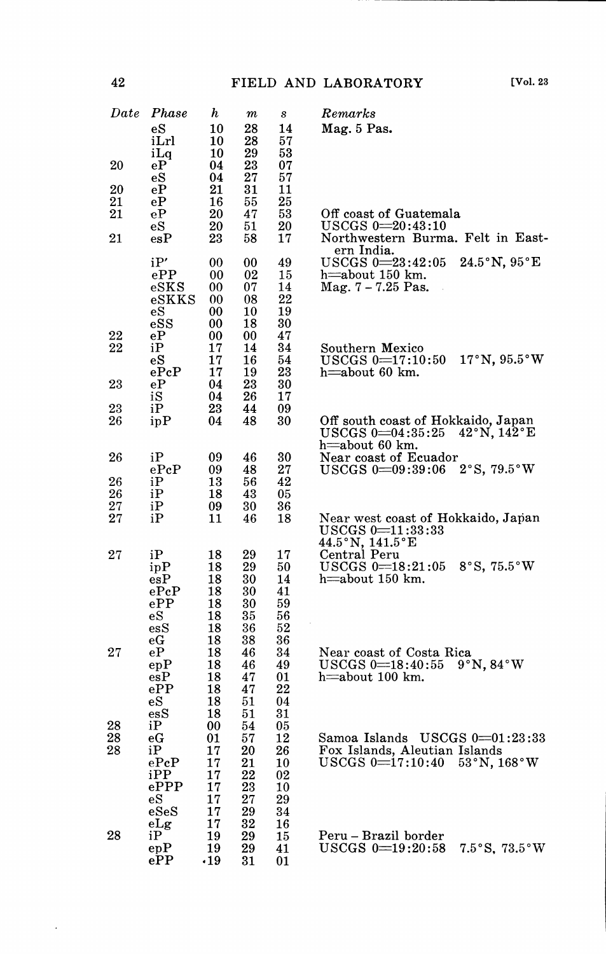| ٠І<br> |  |
|--------|--|
|--------|--|

| $_{Date}$ | Phase                          | h        | $\it m$  | $\boldsymbol{s}$ | Remarks                                                                                                                 |
|-----------|--------------------------------|----------|----------|------------------|-------------------------------------------------------------------------------------------------------------------------|
|           | eS                             | 10       | 28       | 14               | Mag. 5 Pas.                                                                                                             |
|           | iLrl                           | 10       | 28       | 57               |                                                                                                                         |
| 20        | iLq<br>eР                      | 10<br>04 | 29<br>23 | 53<br>07         |                                                                                                                         |
|           | $_{\rm eS}$                    | 04       | 27       | 57               |                                                                                                                         |
| 20        | еP                             | 21       | 31       | 11               |                                                                                                                         |
| 21        | еP                             | 16       | 55       | 25               |                                                                                                                         |
| 21        | еP                             | 20       | 47       | 53               | Off coast of Guatemala                                                                                                  |
|           | $_{\rm eS}$                    | 20       | 51       | 20               | $USCGS$ $0=20:43:10$                                                                                                    |
| 21        | $_{\rm esP}$                   | 23       | 58       | 17               | Northwestern Burma. Felt in East-<br>ern India.                                                                         |
|           | iP'                            | 00       | 00       | 49               | $24.5^{\circ}$ N, $95^{\circ}$ E<br>$USCGS$ $0=23:42:05$                                                                |
|           | ePP                            | 00       | 02       | 15               | h=about 150 km.                                                                                                         |
|           | eSKS                           | 00       | 07       | 14               | Mag. 7 – 7.25 Pas.                                                                                                      |
|           | $_{\rm eSKKS}$                 | 00       | 08       | 22               |                                                                                                                         |
|           | $_{\rm eS}$<br>$_{\rm eSS}$    | 00<br>00 | 10<br>18 | 19<br>30         |                                                                                                                         |
| 22        | еP                             | 00       | 00       | 47               |                                                                                                                         |
| 22        | iР                             | 17       | 14       | 34               | Southern Mexico                                                                                                         |
|           | еS                             | 17       | 16       | 54               | $USCGS = 17:10:50$<br>$17^\circ$ N, $95.5^\circ$ W                                                                      |
|           | ePeP                           | 17       | 19       | 23               | $h$ =about 60 km.                                                                                                       |
| 23        | еP                             | 04<br>04 | 23<br>26 | 30<br>17         |                                                                                                                         |
| 23        | iS<br>iP                       | 23       | 44       | 09               |                                                                                                                         |
| 26        | ipP                            | 04       | 48       | 30               | Off south coast of Hokkaido, Japan                                                                                      |
|           |                                |          |          |                  | $USCGS$ $0=04:35:25$<br>42°N, 142°E                                                                                     |
|           |                                |          |          |                  | h=about 60 km.                                                                                                          |
| 26        | iP                             | 09       | 46       | 30               | Near coast of Ecuador                                                                                                   |
| 26        | ePeP<br>iP                     | 09<br>13 | 48<br>56 | 27<br>42         | 2°S, 79.5°W<br>$USCGS$ $0=09:39:06$                                                                                     |
| 26        | iP                             | 18       | 43       | 05               |                                                                                                                         |
| 27        | iP                             | 09       | 30       | 36               |                                                                                                                         |
| 27        | iР                             | 11       | 46       | 18               | Near west coast of Hokkaido, Japan                                                                                      |
|           |                                |          |          |                  | USCGS 0=11:33:33<br>44.5°N, 141.5°E                                                                                     |
|           |                                |          |          |                  |                                                                                                                         |
| 27        | iР<br>ipP                      | 18<br>18 | 29<br>29 | 17<br>50         | Central Peru<br>$USCGS = 18:21:05$<br>$8^\circ S$ , 75.5 $^\circ W$                                                     |
|           | $_{\rm esP}$                   | 18       | 30       | 14               | h=about 150 km.                                                                                                         |
|           | $_{\rm ePeP}$                  | 18       | 30       | 41               |                                                                                                                         |
|           | $_{\rm ePP}$                   | 18       | 30       | 59               |                                                                                                                         |
|           | еS                             | 18       | 35       | 56               |                                                                                                                         |
|           | $\operatorname{\sf ess}$<br>еG | 18<br>18 | 36<br>38 | 52<br>36         |                                                                                                                         |
| $^{27}$   | eР                             | 18       | 46       | 34               | Near coast of Costa Rica                                                                                                |
|           | epP                            | 18       | 46       | 49               | $\mathrm{USCGS}\ 0\text{=}18\text{:}40\text{:}55\quad 9\text{ }^{\circ}\mathrm{N}\text{, }84\text{ }^{\circ}\mathrm{W}$ |
|           | $_{\rm esP}$                   | 18       | 47       | 01               | h=about 100 km.                                                                                                         |
|           | ePP                            | 18       | 47       | 22               |                                                                                                                         |
|           | $_{\rm eS}$                    | 18       | 51       | 04               |                                                                                                                         |
| 28        | $\operatorname{esS}$<br>iР     | 18<br>00 | 51<br>54 | 31<br>05         |                                                                                                                         |
| 28        | еG                             | 01       | 57       | 12               | Samoa Islands USCGS 0=01:23:33                                                                                          |
| 28        | iP                             | 17       | 20       | 26               | Fox Islands, Aleutian Islands                                                                                           |
|           | ePeP                           | 17       | 21       | 10               | $53^{\circ}\N$ , $168^{\circ}\W$<br>$USCGS = 17:10:40$                                                                  |
|           | iPP                            | 17       | 22       | 02               |                                                                                                                         |
|           | $e{\rm PPP}$                   | 17       | 23       | 10               |                                                                                                                         |
|           | еS<br>$_{\rm eSeS}$            | 17<br>17 | 27<br>29 | 29<br>34         |                                                                                                                         |
|           | eLg                            | 17       | 32       | 16               |                                                                                                                         |
| 28        | iР                             | 19       | 29       | 15               | Peru – Brazil border                                                                                                    |
|           | epP                            | 19       | 29       | 41               | $USCGS$ $0=19:20:58$<br>$7.5^{\circ}$ S, $73.5^{\circ}$ W                                                               |
|           | ePP                            | 19،      | 31       | 01               |                                                                                                                         |

 $\cdot$